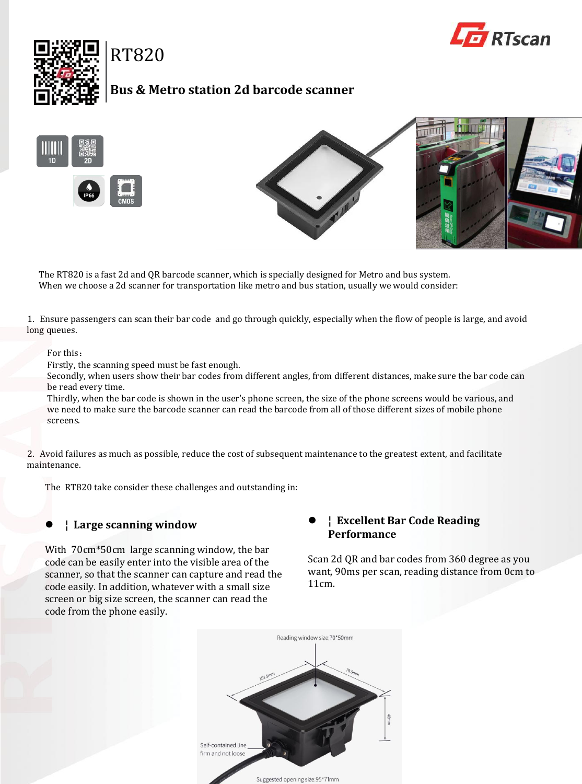



# RT820

## **Bus & Metro station 2d barcode scanner**





The RT820 is a fast 2d and QR barcode scanner, which is specially designed for Metro and bus system. When we choose a 2d scanner for transportation like metro and bus station, usually we would consider:

1. Ensure passengers can scan their bar code and go through quickly, especially when the flow of people is large, and avoid long queues.

#### For this:

Firstly, the scanning speed must be fast enough.

Secondly, when users show their bar codes from different angles, from different distances, make sure the bar code can be read every time.

Thirdly, when the bar code is shown in the user's phone screen, the size of the phone screens would be various, and we need to make sure the barcode scanner can read the barcode from all of those different sizes of mobile phone screens.

2. Avoid failures as much as possible, reduce the cost of subsequent maintenance to the greatest extent, and facilitate maintenance.

The RT820 take consider these challenges and outstanding in:

#### **¦ Large scanning window**

With 70cm\*50cm large scanning window, the bar code can be easily enter into the visible area of the scanner, so that the scanner can capture and read the code easily. In addition, whatever with a small size screen or big size screen, the scanner can read the code from the phone easily.

#### **¦ Excellent Bar Code Reading Performance**

Scan 2d QR and bar codes from 360 degree as you want, 90ms per scan, reading distance from 0cm to 11cm.